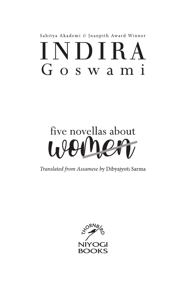## Sahitya Akademi & Jnanpith Award Winner  $INDIRA$ Goswami

# five novellas about 1.4

Translated from Assamese by Dibyajyoti Sarma

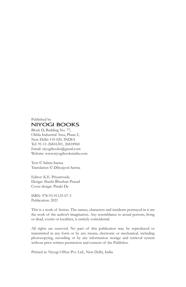#### Published by **NIYOGI BOOKS**

Block D, Building No. 77, Okhla Industrial Area, Phase-I, New Delhi-110 020, INDIA Tel: 91-11-26816301, 26818960 Email: niyogibooks@gmail.com Website: www.niyogibooksindia.com

Text © Sabita Sarma Translation © Dibyajyoti Sarma

Editor: K.E. Priyamvada Design: Shashi Bhushan Prasad Cover design: Pinaki De

ISBN: 978-93-91125-07-3 Publication: 2021

This is a work of fiction. The names, characters and incidents portrayed in it are the work of the author's imagination. Any resemblance to actual persons, living or dead, events or localities, is entirely coincidental.

All rights are reserved. No part of this publication may be reproduced or transmitted in any form or by any means, electronic or mechanical, including photocopying, recording or by any information storage and retrieval system without prior written permission and consent of the Publisher.

Printed at: Niyogi Offset Pvt. Ltd., New Delhi, India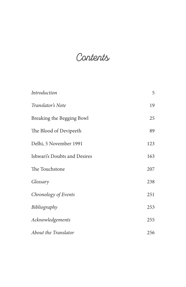## **Contents**

| Introduction                 | 5   |
|------------------------------|-----|
| Translator's Note            | 19  |
| Breaking the Begging Bowl    | 25  |
| The Blood of Devipeeth       | 89  |
| Delhi, 5 November 1991       | 123 |
| Ishwari's Doubts and Desires | 163 |
| The Touchstone               | 207 |
| Glossary                     | 238 |
| Chronology of Events         | 251 |
| Bibliography                 | 253 |
| Acknowledgements             | 255 |
| About the Translator         | 256 |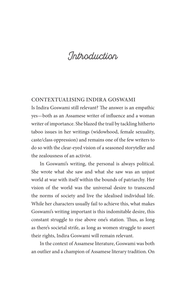### **Introduction**

#### **Contextualising Indira Goswami**

Is Indira Goswami still relevant? The answer is an empathic yes—both as an Assamese writer of influence and a woman writer of importance. She blazed the trail by tackling hitherto taboo issues in her writings (widowhood, female sexuality, caste/class oppression) and remains one of the few writers to do so with the clear-eyed vision of a seasoned storyteller and the zealousness of an activist.

In Goswami's writing, the personal is always political. She wrote what she saw and what she saw was an unjust world at war with itself within the bounds of patriarchy. Her vision of the world was the universal desire to transcend the norms of society and live the idealised individual life. While her characters usually fail to achieve this, what makes Goswami's writing important is this indomitable desire, this constant struggle to rise above one's station. Thus, as long as there's societal strife, as long as women struggle to assert their rights, Indira Goswami will remain relevant.

In the context of Assamese literature, Goswami was both an outlier and a champion of Assamese literary tradition. On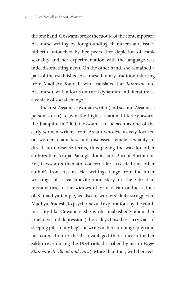the one hand, Goswami broke the mould of the contemporary Assamese writing by foregrounding characters and issues hitherto untouched by her peers (her depiction of frank sexuality and her experimentation with the language was indeed something new). On the other hand, she remained a part of the established Assamese literary tradition (starting from Madhava Kandali, who translated the *Ramayan* into Assamese), with a focus on rural dynamics and literature as a vehicle of social change.

The first Assamese woman writer (and second Assamese person so far) to win the highest national literary award, the Jnanpith, in 2000, Goswami can be seen as one of the early women writers from Assam who exclusively focused on women characters and discussed female sexuality in direct, no-nonsense terms, thus paving the way for other authors like Arupa Patangia Kalita and Purobi Bormudoi. Yet, Goswami's thematic concerns far exceeded any other author's from Assam. Her writings range from the inner workings of a Vaishnavite monastery or the Christian missionaries, to the widows of Vrinadavan or the sadhus of Kamakhya temple, as also to workers' daily struggles in Madhya Pradesh, to psycho-sexual explorations by the youth in a city like Guwahati. She wrote unabashedly about her loneliness and depression ('those days I used to carry vials of sleeping pills in my bag', she writes in her autobiography) and her connection to the disadvantaged (her concern for her Sikh driver during the 1984 riots described by her in *Pages Stained with Blood and Dust*). More than that, with her red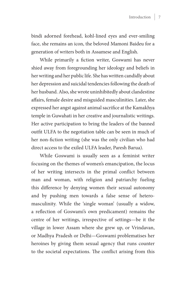bindi adorned forehead, kohl-lined eyes and ever-smiling face, she remains an icon, the beloved Mamoni Baideu for a generation of writers both in Assamese and English.

While primarily a fiction writer, Goswami has never shied away from foregrounding her ideology and beliefs in her writing and her public life. She has written candidly about her depression and suicidal tendencies following the death of her husband. Also, she wrote uninhibitedly about clandestine affairs, female desire and misguided masculinities. Later, she expressed her angst against animal sacrifice at the Kamakhya temple in Guwahati in her creative and journalistic writings. Her active participation to bring the leaders of the banned outfit ULFA to the negotiation table can be seen in much of her non-fiction writing (she was the only civilian who had direct access to the exiled ULFA leader, Paresh Barua).

While Goswami is usually seen as a feminist writer focusing on the themes of women's emancipation, the locus of her writing intersects in the primal conflict between man and woman, with religion and patriarchy fueling this difference by denying women their sexual autonomy and by pushing men towards a false sense of heteromasculinity. While the 'single woman' (usually a widow, a reflection of Goswami's own predicament) remains the centre of her writings, irrespective of settings—be it the village in lower Assam where she grew up, or Vrindavan, or Madhya Pradesh or Delhi—Goswami problematises her heroines by giving them sexual agency that runs counter to the societal expectations. The conflict arising from this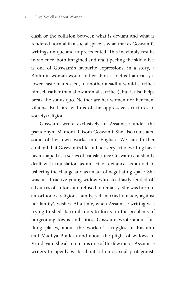clash or the collision between what is deviant and what is rendered normal in a social space is what makes Goswami's writings unique and unprecedented. This inevitably results in violence, both imagined and real ('peeling the skin alive' is one of Goswami's favourite expressions; in a story, a Brahmin woman would rather abort a foetus than carry a lower-caste man's seed, in another a sadhu would sacrifice himself rather than allow animal sacrifice), but it also helps break the status quo. Neither are her women nor her men, villains. Both are victims of the oppressive structures of society/religion.

Goswami wrote exclusively in Assamese under the pseudonym Mamoni Raisom Goswami. She also translated some of her own works into English. We can further contend that Goswami's life and her very act of writing have been shaped as a series of translations: Goswami constantly dealt with translation as an act of defiance, as an act of ushering the change and as an act of negotiating space. She was an attractive young widow who steadfastly fended off advances of suitors and refused to remarry. She was born in an orthodox religious family, yet married outside, against her family's wishes. At a time, when Assamese writing was trying to shed its rural roots to focus on the problems of burgeoning towns and cities, Goswami wrote about farflung places, about the workers' struggles in Kashmir and Madhya Pradesh and about the plight of widows in Vrindavan. She also remains one of the few major Assamese writers to openly write about a homosexual protagonist.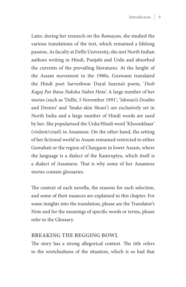Later, during her research on the *Ramayan*, she studied the various translations of the text, which remained a lifelong passion. As faculty at Delhi University, she met North Indian authors writing in Hindi, Punjabi and Urdu and absorbed the currents of the prevailing literatures. At the height of the Assam movement in the 1980s, Goswami translated the Hindi poet Sarveshwar Dayal Saxena's poem, '*Desh Kagaj Par Bana Naksha Nahin Hota*'. A large number of her stories (such as 'Delhi, 5 November 1991'; 'Ishwari's Doubts and Desires' and 'Snake-skin Shoes') are exclusively set in North India and a large number of Hindi words are used by her. She popularised the Urdu/Hindi word 'Khoonkhaar' (violent/cruel) in Assamese. On the other hand, the setting of her fictional world in Assam remained restricted to either Guwahati or the region of Chaygaon in lower Assam, where the language is a dialect of the Kamrupiya, which itself is a dialect of Assamese. That is why some of her Assamese stories contain glossaries.

The context of each novella, the reasons for each selection, and some of their nuances are explained in this chapter. For some insights into the translation, please see the Translator's Note and for the meanings of specific words or terms, please refer to the Glossary.

#### **Breaking the Begging Bowl**

The story has a strong allegorical context. The title refers to the wretchedness of the situation, which is so bad that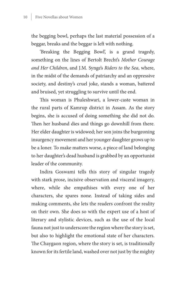the begging bowl, perhaps the last material possession of a beggar, breaks and the beggar is left with nothing.

'Breaking the Begging Bowl', is a grand tragedy, something on the lines of Bertolt Brecht's *Mother Courage and Her Children*, and J.M. Synge's *Riders to the Sea*, where, in the midst of the demands of patriarchy and an oppressive society, and destiny's cruel joke, stands a woman, battered and bruised, yet struggling to survive until the end.

This woman is Phuleshwari, a lower-caste woman in the rural parts of Kamrup district in Assam. As the story begins, she is accused of doing something she did not do. Then her husband dies and things go downhill from there. Her elder daughter is widowed; her son joins the burgeoning insurgency movement and her younger daughter grows up to be a loner. To make matters worse, a piece of land belonging to her daughter's dead husband is grabbed by an opportunist leader of the community.

Indira Goswami tells this story of singular tragedy with stark prose, incisive observation and visceral imagery, where, while she empathises with every one of her characters, she spares none. Instead of taking sides and making comments, she lets the readers confront the reality on their own. She does so with the expert use of a host of literary and stylistic devices, such as the use of the local fauna not just to underscore the region where the story is set, but also to highlight the emotional state of her characters. The Chaygaon region, where the story is set, is traditionally known for its fertile land, washed over not just by the mighty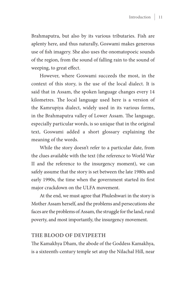Brahmaputra, but also by its various tributaries. Fish are aplenty here, and thus naturally, Goswami makes generous use of fish imagery. She also uses the onomatopoeic sounds of the region, from the sound of falling rain to the sound of weeping, to great effect.

However, where Goswami succeeds the most, in the context of this story, is the use of the local dialect. It is said that in Assam, the spoken language changes every 14 kilometres. The local language used here is a version of the Kamrupiya dialect, widely used in its various forms, in the Brahmaputra valley of Lower Assam. The language, especially particular words, is so unique that in the original text, Goswami added a short glossary explaining the meaning of the words.

While the story doesn't refer to a particular date, from the clues available with the text (the reference to World War II and the reference to the insurgency moment), we can safely assume that the story is set between the late 1980s and early 1990s, the time when the government started its first major crackdown on the ULFA movement.

At the end, we must agree that Phuleshwari in the story is Mother Assam herself, and the problems and persecutions she faces are the problems of Assam, the struggle for the land, rural poverty, and most importantly, the insurgency movement.

#### **The Blood of Devipeeth**

The Kamakhya Dham, the abode of the Goddess Kamakhya, is a sixteenth-century temple set atop the Nilachal Hill, near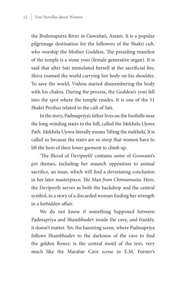the Brahmaputra River in Guwahati, Assam. It is a popular pilgrimage destination for the followers of the Shakti cult, who worship the Mother Goddess. The presiding manifest of the temple is a stone yoni (female generative organ). It is said that after Sati immolated herself at the sacrificial fire, Shiva roamed the world carrying her body on his shoulder. To save the world, Vishnu started dismembering the body with his chakra. During the process, the Goddess's yoni fell into the spot where the temple resides. It is one of the 51 Shakti Peethas related to the cult of Sati.

In the story, Padmapriya's father lives on the foothills near the long-winding stairs to the hill, called the Mekhela Ujowa Path. Mekhela Ujowa literally means 'lifting the mekhela'. It is called so because the stairs are so steep that women have to lift the hem of their lower garment to climb up.

'The Blood of Devipeeth' contains some of Goswami's pet themes, including her staunch opposition to animal sacrifice, an issue, which will find a devastating conclusion in her later masterpiece, *The Man from Chinnamasta.* Here, the Devipeeth serves as both the backdrop and the central symbol, in a story of a discarded woman finding her strength in a forbidden affair.

We do not know if something happened between Padmapriya and Shambhudev inside the cave, and frankly, it doesn't matter. Yet, the haunting scene, where Padmapriya follows Shambhudev to the darkness of the cave to find the golden flower, is the central motif of the text, very much like the Marabar Cave scene in E.M. Forster's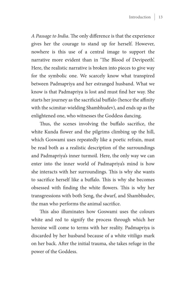*A Passage to India*. The only difference is that the experience gives her the courage to stand up for herself. However, nowhere is this use of a central image to support the narrative more evident than in 'The Blood of Devipeeth'. Here, the realistic narrative is broken into pieces to give way for the symbolic one. We scarcely know what transpired between Padmapriya and her estranged husband. What we know is that Padmapriya is lost and must find her way. She starts her journey as the sacrificial buffalo (hence the affinity with the scimitar-wielding Shambhudev), and ends up as the enlightened one, who witnesses the Goddess dancing.

Thus, the scenes involving the buffalo sacrifice, the white Kunda flower and the pilgrims climbing up the hill, which Goswami uses repeatedly like a poetic refrain, must be read both as a realistic description of the surroundings and Padmapriya's inner turmoil. Here, the only way we can enter into the inner world of Padmapriya's mind is how she interacts with her surroundings. This is why she wants to sacrifice herself like a buffalo. This is why she becomes obsessed with finding the white flowers. This is why her transgressions with both Seng, the dwarf, and Shambhudev, the man who performs the animal sacrifice.

This also illuminates how Goswami uses the colours white and red to signify the process through which her heroine will come to terms with her reality. Padmapriya is discarded by her husband because of a white vitiligo mark on her back. After the initial trauma, she takes refuge in the power of the Goddess.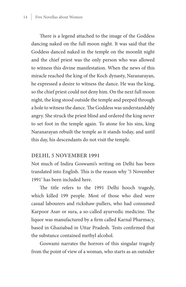There is a legend attached to the image of the Goddess dancing naked on the full moon night. It was said that the Goddess danced naked in the temple on the moonlit night and the chief priest was the only person who was allowed to witness this divine manifestation. When the news of this miracle reached the king of the Koch dynasty, Naranarayan, he expressed a desire to witness the dance. He was the king, so the chief priest could not deny him. On the next full moon night, the king stood outside the temple and peeped through a hole to witness the dance. The Goddess was understandably angry. She struck the priest blind and ordered the king never to set foot in the temple again. To atone for his sins, king Naranarayan rebuilt the temple as it stands today, and until this day, his descendants do not visit the temple.

#### **Delhi, 5 November 1991**

Not much of Indira Goswami's writing on Delhi has been translated into English. This is the reason why '5 November 1991' has been included here.

The title refers to the 1991 Delhi hooch tragedy, which killed 199 people. Most of those who died were casual labourers and rickshaw-pullers, who had consumed Karpoor Asav or sura, a so-called ayurvedic medicine. The liquor was manufactured by a firm called Karnal Pharmacy, based in Ghaziabad in Uttar Pradesh. Tests confirmed that the substance contained methyl alcohol.

Goswami narrates the horrors of this singular tragedy from the point of view of a woman, who starts as an outsider